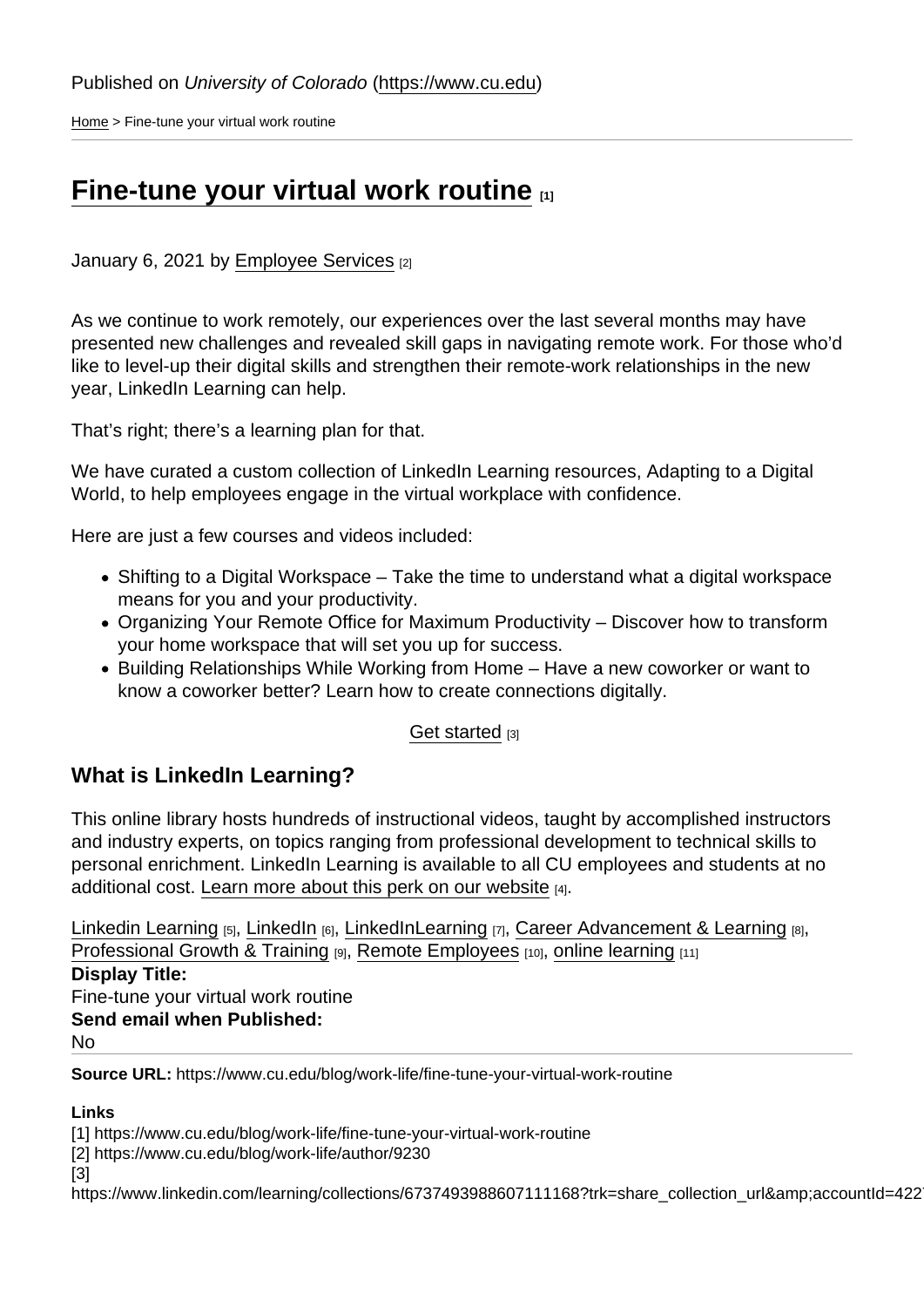[Home](https://www.cu.edu/) > Fine-tune your virtual work routine

## [Fine-tune your virtual work routine](https://www.cu.edu/blog/work-life/fine-tune-your-virtual-work-routine)  $\frac{1}{11}$

January 6, 2021 by [Employee Services](https://www.cu.edu/blog/work-life/author/9230) [2]

As we continue to work remotely, our experiences over the last several months may have presented new challenges and revealed skill gaps in navigating remote work. For those who'd like to level-up their digital skills and strengthen their remote-work relationships in the new year, LinkedIn Learning can help.

That's right; there's a learning plan for that.

We have curated a custom collection of LinkedIn Learning resources, Adapting to a Digital World, to help employees engage in the virtual workplace with confidence.

Here are just a few courses and videos included:

- Shifting to a Digital Workspace Take the time to understand what a digital workspace means for you and your productivity.
- Organizing Your Remote Office for Maximum Productivity Discover how to transform your home workspace that will set you up for success.
- Building Relationships While Working from Home Have a new coworker or want to know a coworker better? Learn how to create connections digitally.

## [Get started](https://www.linkedin.com/learning/collections/6737493988607111168?trk=share_collection_url&accountId=42275329&u=42275329&success=true&authUUID=HuVJk0PlQeaedEqdhFDWAg==) [3]

## What is LinkedIn Learning?

This online library hosts hundreds of instructional videos, taught by accomplished instructors and industry experts, on topics ranging from professional development to technical skills to personal enrichment. LinkedIn Learning is available to all CU employees and students at no additional cost. [Learn more about this perk on our website](https://www.cu.edu/employee-services/professional-growth-training/training-services/linkedin-learning)  $H_1$ .

[Linkedin Learning](https://www.cu.edu/blog/work-life/tag/linkedin-learning) [5], [LinkedIn](https://www.cu.edu/blog/work-life/tag/linkedin) [6], [LinkedInLearning](https://www.cu.edu/blog/work-life/tag/linkedinlearning) [7], [Career Advancement & Learning](https://www.cu.edu/blog/work-life/tag/career-advancement-&-learning) [8], [Professional Growth & Training](https://www.cu.edu/blog/work-life/tag/professional-growth-&-training) [9], [Remote Employees](https://www.cu.edu/blog/work-life/tag/remote-employees) [10], [online learning](https://www.cu.edu/blog/work-life/tag/online-learning) [11] Display Title: Fine-tune your virtual work routine Send email when Published:

No

Source URL: https://www.cu.edu/blog/work-life/fine-tune-your-virtual-work-routine

Links

[1] https://www.cu.edu/blog/work-life/fine-tune-your-virtual-work-routine

[2] https://www.cu.edu/blog/work-life/author/9230

[3]

https://www.linkedin.com/learning/collections/6737493988607111168?trk=share\_collection\_url&accountId=422